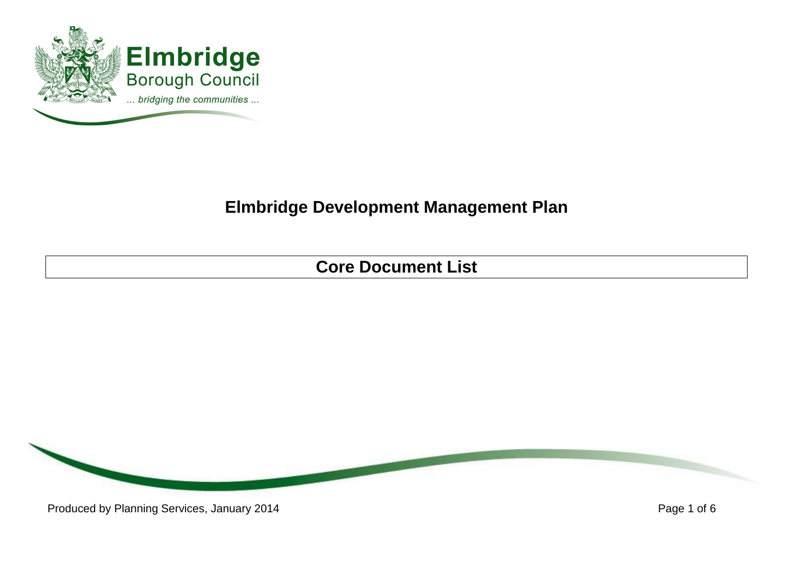

## **Elmbridge Development Management Plan**

**Core Document List**

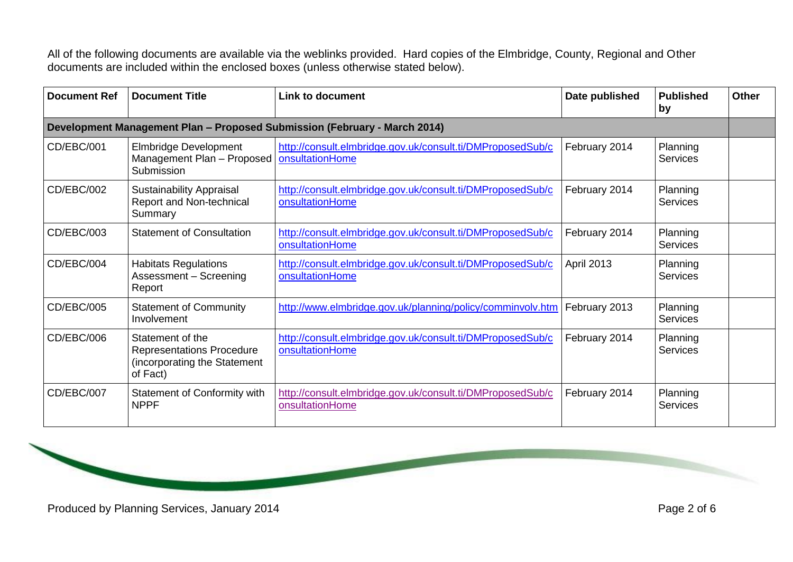All of the following documents are available via the weblinks provided. Hard copies of the Elmbridge, County, Regional and Other documents are included within the enclosed boxes (unless otherwise stated below).

| <b>Document Ref</b> | <b>Document Title</b>                                                                            | <b>Link to document</b>                                                       | Date published    | <b>Published</b><br>by      | <b>Other</b> |  |
|---------------------|--------------------------------------------------------------------------------------------------|-------------------------------------------------------------------------------|-------------------|-----------------------------|--------------|--|
|                     | Development Management Plan - Proposed Submission (February - March 2014)                        |                                                                               |                   |                             |              |  |
| CD/EBC/001          | <b>Elmbridge Development</b><br>Management Plan - Proposed<br>Submission                         | http://consult.elmbridge.gov.uk/consult.ti/DMProposedSub/c<br>onsultationHome | February 2014     | Planning<br><b>Services</b> |              |  |
| CD/EBC/002          | <b>Sustainability Appraisal</b><br>Report and Non-technical<br>Summary                           | http://consult.elmbridge.gov.uk/consult.ti/DMProposedSub/c<br>onsultationHome | February 2014     | Planning<br>Services        |              |  |
| CD/EBC/003          | <b>Statement of Consultation</b>                                                                 | http://consult.elmbridge.gov.uk/consult.ti/DMProposedSub/c<br>onsultationHome | February 2014     | Planning<br><b>Services</b> |              |  |
| CD/EBC/004          | <b>Habitats Regulations</b><br>Assessment - Screening<br>Report                                  | http://consult.elmbridge.gov.uk/consult.ti/DMProposedSub/c<br>onsultationHome | <b>April 2013</b> | Planning<br><b>Services</b> |              |  |
| CD/EBC/005          | <b>Statement of Community</b><br>Involvement                                                     | http://www.elmbridge.gov.uk/planning/policy/comminvolv.htm                    | February 2013     | Planning<br>Services        |              |  |
| CD/EBC/006          | Statement of the<br><b>Representations Procedure</b><br>(incorporating the Statement<br>of Fact) | http://consult.elmbridge.gov.uk/consult.ti/DMProposedSub/c<br>onsultationHome | February 2014     | Planning<br><b>Services</b> |              |  |
| CD/EBC/007          | Statement of Conformity with<br><b>NPPF</b>                                                      | http://consult.elmbridge.gov.uk/consult.ti/DMProposedSub/c<br>onsultationHome | February 2014     | Planning<br><b>Services</b> |              |  |

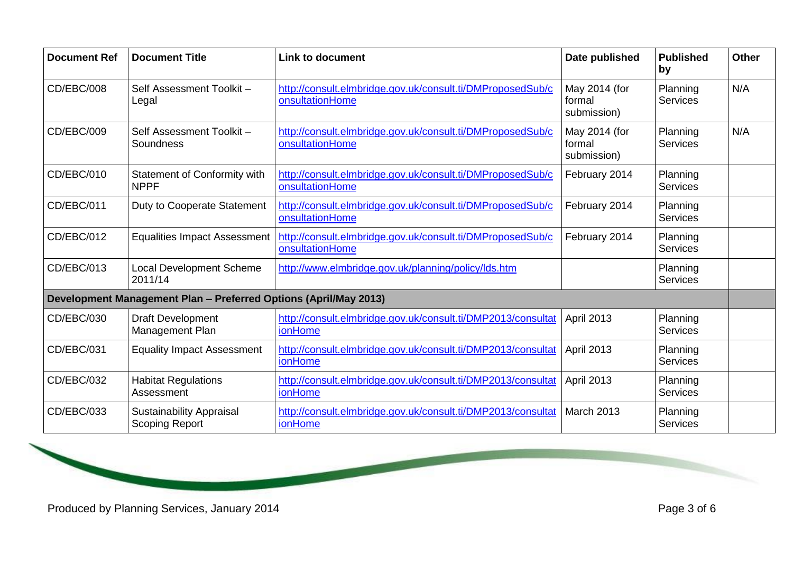| <b>Document Ref</b> | <b>Document Title</b>                                            | <b>Link to document</b>                                                        | Date published                         | <b>Published</b><br>by      | Other |
|---------------------|------------------------------------------------------------------|--------------------------------------------------------------------------------|----------------------------------------|-----------------------------|-------|
| CD/EBC/008          | Self Assessment Toolkit-<br>Legal                                | http://consult.elmbridge.gov.uk/consult.ti/DMProposedSub/c<br>onsultationHome  | May 2014 (for<br>formal<br>submission) | Planning<br><b>Services</b> | N/A   |
| CD/EBC/009          | Self Assessment Toolkit-<br>Soundness                            | http://consult.elmbridge.gov.uk/consult.ti/DMProposedSub/c<br>onsultationHome  | May 2014 (for<br>formal<br>submission) | Planning<br><b>Services</b> | N/A   |
| CD/EBC/010          | Statement of Conformity with<br><b>NPPF</b>                      | http://consult.elmbridge.gov.uk/consult.ti/DMProposedSub/c<br>onsultationHome  | February 2014                          | Planning<br><b>Services</b> |       |
| CD/EBC/011          | Duty to Cooperate Statement                                      | http://consult.elmbridge.gov.uk/consult.ti/DMProposedSub/c<br>onsultationHome  | February 2014                          | Planning<br><b>Services</b> |       |
| CD/EBC/012          | <b>Equalities Impact Assessment</b>                              | http://consult.elmbridge.gov.uk/consult.ti/DMProposedSub/c<br>onsultationHome  | February 2014                          | Planning<br><b>Services</b> |       |
| CD/EBC/013          | <b>Local Development Scheme</b><br>2011/14                       | http://www.elmbridge.gov.uk/planning/policy/lds.htm                            |                                        | Planning<br><b>Services</b> |       |
|                     | Development Management Plan - Preferred Options (April/May 2013) |                                                                                |                                        |                             |       |
| CD/EBC/030          | Draft Development<br>Management Plan                             | http://consult.elmbridge.gov.uk/consult.ti/DMP2013/consultat<br><b>ionHome</b> | April 2013                             | Planning<br><b>Services</b> |       |
| CD/EBC/031          | <b>Equality Impact Assessment</b>                                | http://consult.elmbridge.gov.uk/consult.ti/DMP2013/consultat<br><b>ionHome</b> | April 2013                             | Planning<br><b>Services</b> |       |
| CD/EBC/032          | <b>Habitat Regulations</b><br>Assessment                         | http://consult.elmbridge.gov.uk/consult.ti/DMP2013/consultat<br><b>ionHome</b> | April 2013                             | Planning<br><b>Services</b> |       |
| CD/EBC/033          | <b>Sustainability Appraisal</b><br><b>Scoping Report</b>         | http://consult.elmbridge.gov.uk/consult.ti/DMP2013/consultat<br><b>ionHome</b> | March 2013                             | Planning<br><b>Services</b> |       |

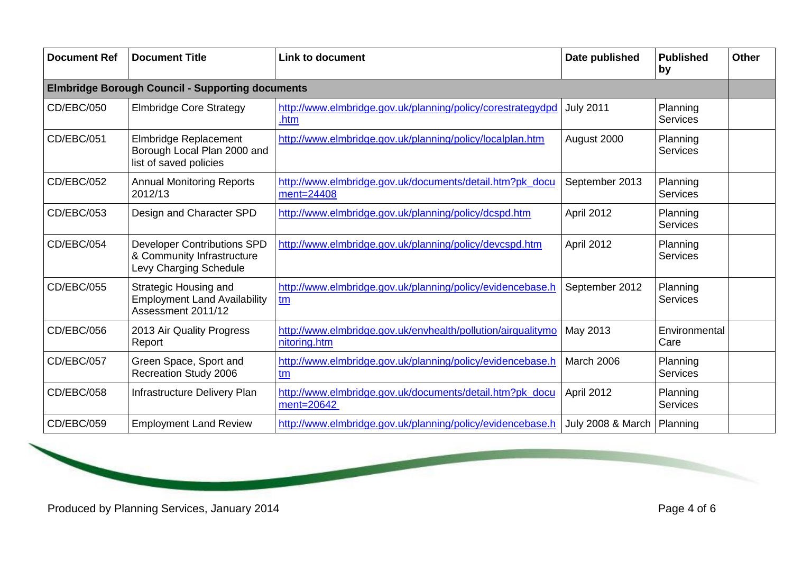| <b>Document Ref</b>                                     | <b>Document Title</b>                                                                      | <b>Link to document</b>                                                      | Date published    | <b>Published</b><br>by      | <b>Other</b> |
|---------------------------------------------------------|--------------------------------------------------------------------------------------------|------------------------------------------------------------------------------|-------------------|-----------------------------|--------------|
| <b>Elmbridge Borough Council - Supporting documents</b> |                                                                                            |                                                                              |                   |                             |              |
| CD/EBC/050                                              | <b>Elmbridge Core Strategy</b>                                                             | http://www.elmbridge.gov.uk/planning/policy/corestrategydpd<br>.htm          | <b>July 2011</b>  | Planning<br><b>Services</b> |              |
| CD/EBC/051                                              | Elmbridge Replacement<br>Borough Local Plan 2000 and<br>list of saved policies             | http://www.elmbridge.gov.uk/planning/policy/localplan.htm                    | August 2000       | Planning<br><b>Services</b> |              |
| CD/EBC/052                                              | <b>Annual Monitoring Reports</b><br>2012/13                                                | http://www.elmbridge.gov.uk/documents/detail.htm?pk_docu<br>ment=24408       | September 2013    | Planning<br><b>Services</b> |              |
| CD/EBC/053                                              | Design and Character SPD                                                                   | http://www.elmbridge.gov.uk/planning/policy/dcspd.htm                        | April 2012        | Planning<br><b>Services</b> |              |
| CD/EBC/054                                              | <b>Developer Contributions SPD</b><br>& Community Infrastructure<br>Levy Charging Schedule | http://www.elmbridge.gov.uk/planning/policy/devcspd.htm                      | April 2012        | Planning<br><b>Services</b> |              |
| CD/EBC/055                                              | <b>Strategic Housing and</b><br><b>Employment Land Availability</b><br>Assessment 2011/12  | http://www.elmbridge.gov.uk/planning/policy/evidencebase.h<br>tm             | September 2012    | Planning<br>Services        |              |
| CD/EBC/056                                              | 2013 Air Quality Progress<br>Report                                                        | http://www.elmbridge.gov.uk/envhealth/pollution/airqualitymo<br>nitoring.htm | May 2013          | Environmental<br>Care       |              |
| CD/EBC/057                                              | Green Space, Sport and<br>Recreation Study 2006                                            | http://www.elmbridge.gov.uk/planning/policy/evidencebase.h<br>tm             | March 2006        | Planning<br><b>Services</b> |              |
| <b>CD/EBC/058</b>                                       | Infrastructure Delivery Plan                                                               | http://www.elmbridge.gov.uk/documents/detail.htm?pk_docu<br>ment=20642       | April 2012        | Planning<br><b>Services</b> |              |
| <b>CD/EBC/059</b>                                       | <b>Employment Land Review</b>                                                              | http://www.elmbridge.gov.uk/planning/policy/evidencebase.h                   | July 2008 & March | Planning                    |              |

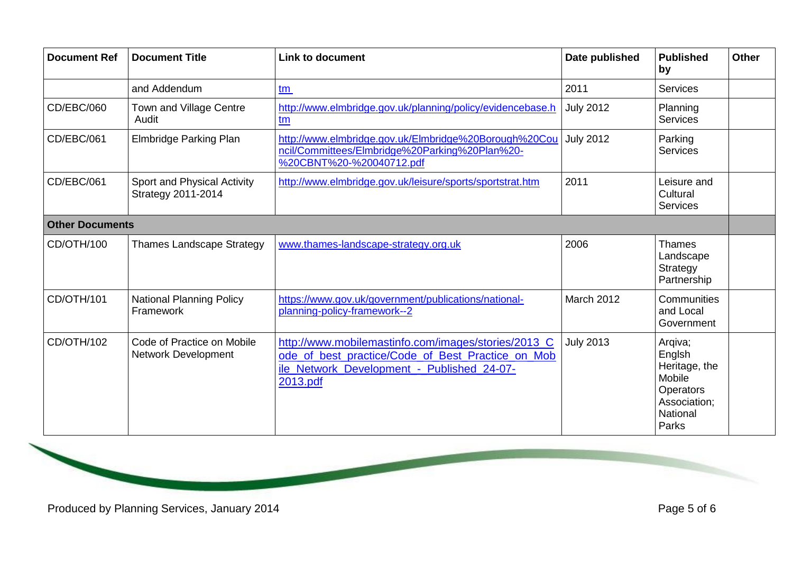| <b>Document Ref</b> | <b>Document Title</b>                                    | <b>Link to document</b>                                                                                                                                            | Date published   | <b>Published</b><br>by                                                                         | <b>Other</b> |  |
|---------------------|----------------------------------------------------------|--------------------------------------------------------------------------------------------------------------------------------------------------------------------|------------------|------------------------------------------------------------------------------------------------|--------------|--|
|                     | and Addendum                                             | tm                                                                                                                                                                 | 2011             | <b>Services</b>                                                                                |              |  |
| CD/EBC/060          | Town and Village Centre<br>Audit                         | http://www.elmbridge.gov.uk/planning/policy/evidencebase.h<br>tm                                                                                                   | <b>July 2012</b> | Planning<br><b>Services</b>                                                                    |              |  |
| CD/EBC/061          | <b>Elmbridge Parking Plan</b>                            | http://www.elmbridge.gov.uk/Elmbridge%20Borough%20Cou<br>ncil/Committees/Elmbridge%20Parking%20Plan%20-<br>%20CBNT%20-%20040712.pdf                                | <b>July 2012</b> | Parking<br><b>Services</b>                                                                     |              |  |
| CD/EBC/061          | Sport and Physical Activity<br>Strategy 2011-2014        | http://www.elmbridge.gov.uk/leisure/sports/sportstrat.htm                                                                                                          | 2011             | Leisure and<br>Cultural<br><b>Services</b>                                                     |              |  |
|                     | <b>Other Documents</b>                                   |                                                                                                                                                                    |                  |                                                                                                |              |  |
| CD/OTH/100          | <b>Thames Landscape Strategy</b>                         | www.thames-landscape-strategy.org.uk                                                                                                                               | 2006             | <b>Thames</b><br>Landscape<br>Strategy<br>Partnership                                          |              |  |
| CD/OTH/101          | <b>National Planning Policy</b><br>Framework             | https://www.gov.uk/government/publications/national-<br>planning-policy-framework--2                                                                               | March 2012       | Communities<br>and Local<br>Government                                                         |              |  |
| CD/OTH/102          | Code of Practice on Mobile<br><b>Network Development</b> | http://www.mobilemastinfo.com/images/stories/2013_C<br>ode of best practice/Code of Best Practice on Mob<br>ile_Network_Development_-_Published_24-07-<br>2013.pdf | <b>July 2013</b> | Arqiva;<br>Englsh<br>Heritage, the<br>Mobile<br>Operators<br>Association;<br>National<br>Parks |              |  |